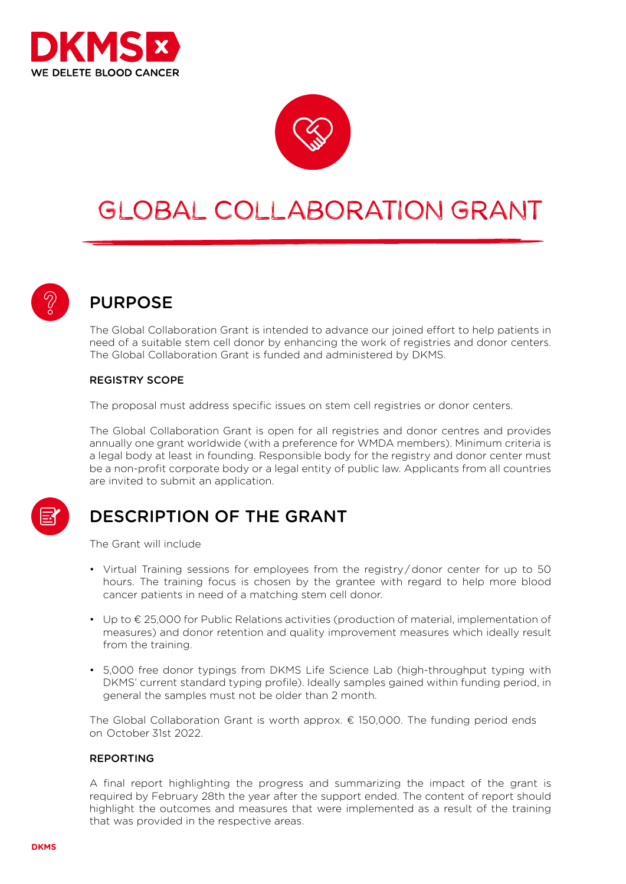



# GLOBAL COLLABORATION GRANT



## PURPOSE

The Global Collaboration Grant is intended to advance our joined effort to help patients in need of a suitable stem cell donor by enhancing the work of registries and donor centers. The Global Collaboration Grant is funded and administered by DKMS.

### REGISTRY SCOPE

The proposal must address specific issues on stem cell registries or donor centers.

The Global Collaboration Grant is open for all registries and donor centres and provides annually one grant worldwide (with a preference for WMDA members). Minimum criteria is a legal body at least in founding. Responsible body for the registry and donor center must be a non-profit corporate body or a legal entity of public law. Applicants from all countries are invited to submit an application.

## DESCRIPTION OF THE GRANT

The Grant will include

- Virtual Training sessions for employees from the registry / donor center for up to 50 hours. The training focus is chosen by the grantee with regard to help more blood cancer patients in need of a matching stem cell donor.
- Up to € 25,000 for Public Relations activities (production of material, implementation of measures) and donor retention and quality improvement measures which ideally result from the training.
- 5,000 free donor typings from DKMS Life Science Lab (high-throughput typing with DKMS' current standard typing profile). Ideally samples gained within funding period, in general the samples must not be older than 2 month.

The Global Collaboration Grant is worth approx.  $\epsilon$  150,000. The funding period ends on October 31st 2022.

#### REPORTING

A final report highlighting the progress and summarizing the impact of the grant is required by February 28th the year after the support ended. The content of report should highlight the outcomes and measures that were implemented as a result of the training that was provided in the respective areas.